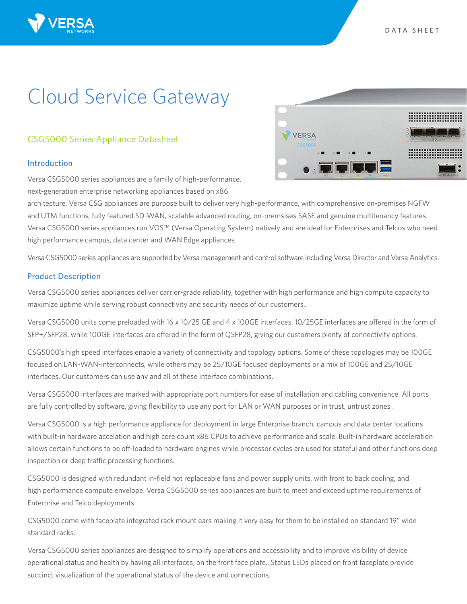# Cloud Service Gateway

# CSG5000 Series Appliance Datasheet

## Introduction

Versa CSG5000 series appliances are a family of high-performance, next-generation enterprise networking appliances based on x86



architecture. Versa CSG appliances are purpose built to deliver very high-performance, with comprehensive on-premises NGFW and UTM functions, fully featured SD-WAN, scalable advanced routing, on-premsises SASE and genuine multitenancy features. Versa CSG5000 series appliances run VOS™ (Versa Operating System) natively and are ideal for Enterprises and Telcos who need high performance campus, data center and WAN Edge appliances.

Versa CSG5000 series appliances are supported by Versa management and control software including Versa Director and Versa Analytics.

## Product Description

Versa CSG5000 series appliances deliver carrier-grade reliability, together with high performance and high compute capacity to maximize uptime while serving robust connectivity and security needs of our customers..

Versa CSG5000 units come preloaded with 16 x 10/25 GE and 4 x 100GE interfaces. 10/25GE interfaces are offered in the form of SFP+/SFP28, while 100GE interfaces are offered in the form of QSFP28, giving our customers plenty of connectivity options.

CSG5000's high speed interfaces enable a variety of connectivity and topology options. Some of these topologies may be 100GE focused on LAN-WAN-interconnects, while others may be 25/10GE focused deployments or a mix of 100GE and 25/10GE interfaces. Our customers can use any and all of these interface combinations.

Versa CSG5000 interfaces are marked with appropriate port numbers for ease of installation and cabling convenience. All ports are fully controlled by software, giving flexibility to use any port for LAN or WAN purposes or in trust, untrust zones .

Versa CSG5000 is a high performance appliance for deployment in large Enterprise branch, campus and data center locations with built-in hardware accelation and high core count x86 CPUs to achieve performance and scale. Built-in hardware acceleration allows certain functions to be off-loaded to hardware engines while processor cycles are used for stateful and other functions deep inspection or deep traffic processing functions.

CSG5000 is designed with redundant in-field hot replaceable fans and power supply units, with front to back cooling, and high performance compute envelope. Versa CSG5000 series appliances are built to meet and exceed uptime requirements of Enterprise and Telco deployments.

CSG5000 come with faceplate integrated rack mount ears making it very easy for them to be installed on standard 19" wide standard racks.

Versa CSG5000 series appliances are designed to simplify operations and accessibility and to improve visibility of device operational status and health by having all interfaces, on the front face plate.. Status LEDs placed on front faceplate provide succinct visualization of the operational status of the device and connections.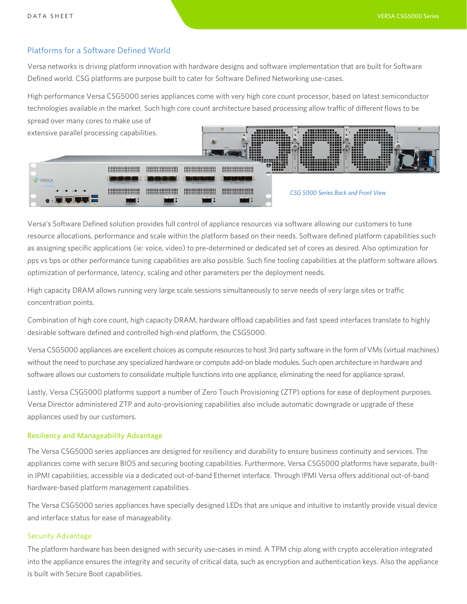# Platforms for a Software Defined World

Versa networks is driving platform innovation with hardware designs and software implementation that are built for Software Defined world. CSG platforms are purpose built to cater for Software Defined Networking use-cases.

High performance Versa CSG5000 series appliances come with very high core count processor, based on latest semiconductor technologies available in the market. Such high core count architecture based processing allow traffic of different flows to be spread over many cores to make use of 

extensive parallel processing capabilities.

| exterisive paralier processing capabilities.                        |                                                                               |                                                                             |                                                                                                  | -----<br>---<br>-----<br>-----<br>-----<br>-----<br>------                                        | ------------<br>--------------<br>----------------<br>----------------<br>------<br>-----<br>-----<br><br><b>HERES</b><br>----<br>-----<br><b>.</b><br><b>THEFFER STREET</b> | ---------------<br>----------------<br>-----------------<br>-----<br>----<br>-----<br>.<br>-----<br>-----<br>------<br>----------------<br>---------------- | ------<br>-----<br><b>HERE</b><br><b>HASHE</b><br>-----<br>----<br>----- | ---------------<br>----------------<br>----------------<br>------<br>-----<br>----<br>-----<br><br>-----<br>-----<br><b><i>HORST</i></b><br>-----<br>-----<br>-----<br>----<br>------<br>-----<br>----------------<br>,,,,,,,,,,,,,,,, |  |
|---------------------------------------------------------------------|-------------------------------------------------------------------------------|-----------------------------------------------------------------------------|--------------------------------------------------------------------------------------------------|---------------------------------------------------------------------------------------------------|------------------------------------------------------------------------------------------------------------------------------------------------------------------------------|-------------------------------------------------------------------------------------------------------------------------------------------------------------|--------------------------------------------------------------------------|----------------------------------------------------------------------------------------------------------------------------------------------------------------------------------------------------------------------------------------|--|
|                                                                     | ---------------------<br>**********************<br><br>********************** | <br>*********************<br><br>*********************                      | <br><br><br>*********************                                                                | <br>**********************<br>*********************<br>*********************                      | <b>AR INNINES</b><br>$\overline{\phantom{a}}$ , , , , , , , ,<br>,,,,,                                                                                                       | ,,,,,,,,,,,,,,,<br>-------------<br>-----------                                                                                                             |                                                                          | ,,,,,,,,,,,,,,,<br>-------------<br>------------                                                                                                                                                                                       |  |
| <b>/ERSA</b><br>CSG5000                                             |                                                                               |                                                                             |                                                                                                  | <b>REAL FRONT CARDS</b>                                                                           |                                                                                                                                                                              |                                                                                                                                                             |                                                                          |                                                                                                                                                                                                                                        |  |
| $\mathbf{A} \mathbf{B} \mathbf{A} \mathbf{B} \mathbf{A} \mathbf{B}$ | <br>*********************<br>---------------------<br>----------------------  | <br>*********************<br>*********************<br>********************* | ---------------------<br>---------------------<br>---------------------<br>--------------------- | ---------------------<br>*********************<br>**********************<br>********************* |                                                                                                                                                                              | CSG 5000 Series Back and Front View                                                                                                                         |                                                                          |                                                                                                                                                                                                                                        |  |
| $\bullet$ . The $\blacksquare$                                      |                                                                               |                                                                             |                                                                                                  |                                                                                                   |                                                                                                                                                                              |                                                                                                                                                             |                                                                          |                                                                                                                                                                                                                                        |  |

Versa's Software Defined solution provides full control of appliance resources via software allowing our customers to tune resource allocations, performance and scale within the platform based on their needs. Software defined platform capabilities such as assigning specific applications (ie: voice, video) to pre-determined or dedicated set of cores as desired. Also optimization for pps vs bps or other performance tuning capabilities are also possible. Such fine tooling capabilities at the platform software allows optimization of performance, latency, scaling and other parameters per the deployment needs.

High capacity DRAM allows running very large scale sessions simultaneously to serve needs of very large sites or traffic concentration points.

Combination of high core count, high capacity DRAM, hardware offload capabilities and fast speed interfaces translate to highly desirable software defined and controlled high-end platform, the CSG5000.

Versa CSG5000 appliances are excellent choices as compute resources to host 3rd party software in the form of VMs (virtual machines) without the need to purchase any specialized hardware or compute add-on blade modules. Such open architecture in hardware and software allows our customers to consolidate multiple functions into one appliance, eliminating the need for appliance sprawl.

Lastly, Versa CSG5000 platforms support a number of Zero Touch Provisioning (ZTP) options for ease of deployment purposes. Versa Director administered ZTP and auto-provisioning capabilities also include automatic downgrade or upgrade of these appliances used by our customers.

### Resiliency and Manageability Advantage

The Versa CSG5000 series appliances are designed for resiliency and durability to ensure business continuity and services. The appliances come with secure BIOS and securing booting capabilities. Furthermore, Versa CSG5000 platforms have separate, builtin IPMI capabilities, accessible via a dedicated out-of-band Ethernet interface. Through IPMI Versa offers additional out-of-band hardware-based platform management capabilities.

The Versa CSG5000 series appliances have specially designed LEDs that are unique and intuitive to instantly provide visual device and interface status for ease of manageability.

#### Security Advantage

The platform hardware has been designed with security use-cases in mind. A TPM chip along with crypto acceleration integrated into the appliance ensures the integrity and security of critical data, such as encryption and authentication keys. Also the appliance is built with Secure Boot capabilities.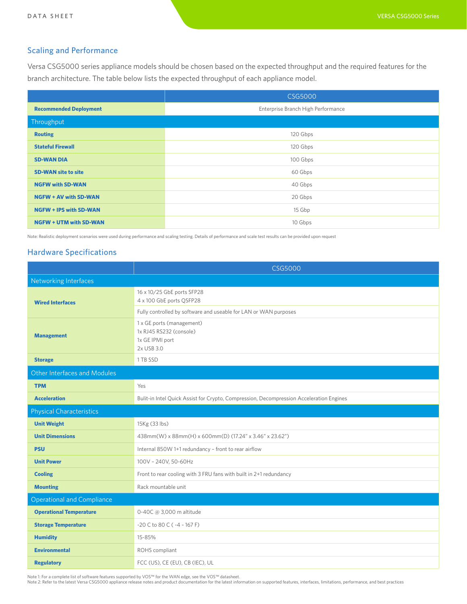# Scaling and Performance

Versa CSG5000 series appliance models should be chosen based on the expected throughput and the required features for the branch architecture. The table below lists the expected throughput of each appliance model.

|                               | <b>CSG5000</b>                     |  |  |  |  |
|-------------------------------|------------------------------------|--|--|--|--|
| <b>Recommended Deployment</b> | Enterprise Branch High Performance |  |  |  |  |
| Throughput                    |                                    |  |  |  |  |
| <b>Routing</b>                | 120 Gbps                           |  |  |  |  |
| <b>Stateful Firewall</b>      | 120 Gbps                           |  |  |  |  |
| <b>SD-WAN DIA</b>             | 100 Gbps                           |  |  |  |  |
| <b>SD-WAN site to site</b>    | 60 Gbps                            |  |  |  |  |
| <b>NGFW with SD-WAN</b>       | 40 Gbps                            |  |  |  |  |
| <b>NGFW + AV with SD-WAN</b>  | 20 Gbps                            |  |  |  |  |
| <b>NGFW + IPS with SD-WAN</b> | 15 Gbp                             |  |  |  |  |
| <b>NGFW + UTM with SD-WAN</b> | 10 Gbps                            |  |  |  |  |

Note: Realistic deployment scenarios were used during performance and scaling testing. Details of performance and scale test results can be provided upon request

## Hardware Specifications

|                                     | <b>CSG5000</b>                                                                          |  |  |  |  |  |
|-------------------------------------|-----------------------------------------------------------------------------------------|--|--|--|--|--|
| Networking Interfaces               |                                                                                         |  |  |  |  |  |
| <b>Wired Interfaces</b>             | 16 x 10/25 GbE ports SFP28<br>4 x 100 GbE ports QSFP28                                  |  |  |  |  |  |
|                                     | Fully controlled by software and useable for LAN or WAN purposes                        |  |  |  |  |  |
| <b>Management</b>                   | 1 x GE ports (management)<br>1x RJ45 RS232 (console)<br>1x GE IPMI port<br>2x USB 3.0   |  |  |  |  |  |
| <b>Storage</b>                      | 1 TB SSD                                                                                |  |  |  |  |  |
| <b>Other Interfaces and Modules</b> |                                                                                         |  |  |  |  |  |
| <b>TPM</b>                          | Yes                                                                                     |  |  |  |  |  |
| <b>Acceleration</b>                 | Bulit-in Intel Quick Assist for Crypto, Compression, Decompression Acceleration Engines |  |  |  |  |  |
| <b>Physical Characteristics</b>     |                                                                                         |  |  |  |  |  |
| <b>Unit Weight</b>                  | 15Kg (33 lbs)                                                                           |  |  |  |  |  |
| <b>Unit Dimensions</b>              | 438mm(W) x 88mm(H) x 600mm(D) (17.24" x 3.46" x 23.62")                                 |  |  |  |  |  |
| <b>PSU</b>                          | Internal 850W 1+1 redundancy - front to rear airflow                                    |  |  |  |  |  |
| <b>Unit Power</b>                   | 100V - 240V, 50-60Hz                                                                    |  |  |  |  |  |
| <b>Cooling</b>                      | Front to rear cooling with 3 FRU fans with built in 2+1 redundancy                      |  |  |  |  |  |
| <b>Mounting</b>                     | Rack mountable unit                                                                     |  |  |  |  |  |
| <b>Operational and Compliance</b>   |                                                                                         |  |  |  |  |  |
| <b>Operational Temperature</b>      | 0-40C @ 3,000 m altitude                                                                |  |  |  |  |  |
| <b>Storage Temperature</b>          | $-20$ C to 80 C ( $-4 \sim 167$ F)                                                      |  |  |  |  |  |
| <b>Humidity</b>                     | 15-85%                                                                                  |  |  |  |  |  |
| <b>Environmental</b>                | ROHS compliant                                                                          |  |  |  |  |  |
| <b>Regulatory</b>                   | FCC (US), CE (EU), CB (IEC), UL                                                         |  |  |  |  |  |

Note 1: For a complete list of software features supported by VOS™ for the WAN edge, see the VOS™ datasheet.<br>Note 2: Refer to the latest Versa CSG5000 appliance release notes and product documentation for the latest infor